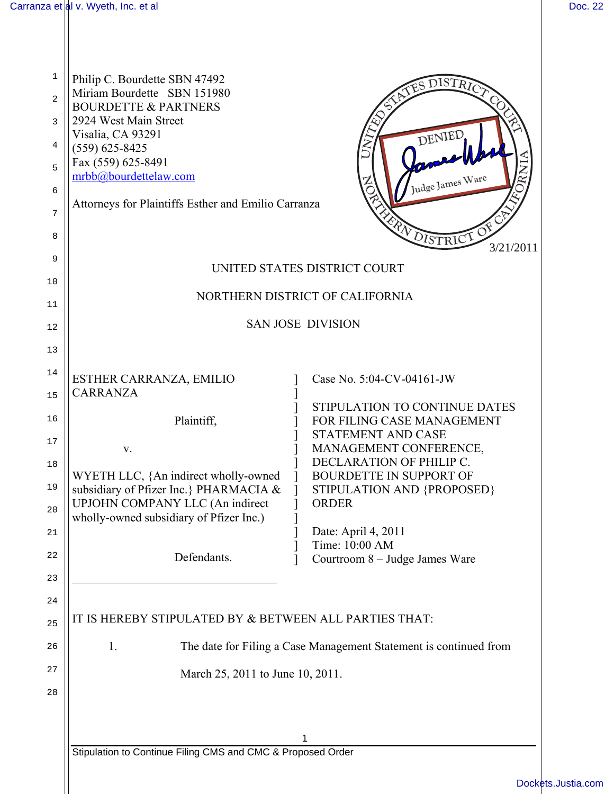| 1<br>2<br>3<br>4<br>5<br>6<br>7<br>8<br>9<br>10<br>11 | Philip C. Bourdette SBN 47492<br>DISTRICT<br>Miriam Bourdette SBN 151980<br><b>BOURDETTE &amp; PARTNERS</b><br>2924 West Main Street<br>Visalia, CA 93291<br>DENIED<br>$(559) 625 - 8425$<br>Fax (559) 625-8491<br>mrbb@bourdettelaw.com<br>Judge James Ware<br>Attorneys for Plaintiffs Esther and Emilio Carranza<br>FRANDISTRICT OF<br>3/21/2011<br>UNITED STATES DISTRICT COURT<br>NORTHERN DISTRICT OF CALIFORNIA |
|-------------------------------------------------------|------------------------------------------------------------------------------------------------------------------------------------------------------------------------------------------------------------------------------------------------------------------------------------------------------------------------------------------------------------------------------------------------------------------------|
| 12                                                    | <b>SAN JOSE DIVISION</b>                                                                                                                                                                                                                                                                                                                                                                                               |
| 13                                                    |                                                                                                                                                                                                                                                                                                                                                                                                                        |
| 14                                                    |                                                                                                                                                                                                                                                                                                                                                                                                                        |
| 15                                                    | ESTHER CARRANZA, EMILIO<br>Case No. 5:04-CV-04161-JW<br><b>CARRANZA</b>                                                                                                                                                                                                                                                                                                                                                |
| 16                                                    | STIPULATION TO CONTINUE DATES<br>Plaintiff,<br>FOR FILING CASE MANAGEMENT                                                                                                                                                                                                                                                                                                                                              |
| 17                                                    | STATEMENT AND CASE<br>MANAGEMENT CONFERENCE,                                                                                                                                                                                                                                                                                                                                                                           |
| 18                                                    | V.<br>DECLARATION OF PHILIP C.                                                                                                                                                                                                                                                                                                                                                                                         |
| 19                                                    | WYETH LLC, {An indirect wholly-owned<br><b>BOURDETTE IN SUPPORT OF</b><br>subsidiary of Pfizer Inc.} PHARMACIA &<br>STIPULATION AND {PROPOSED}<br>UPJOHN COMPANY LLC (An indirect<br><b>ORDER</b>                                                                                                                                                                                                                      |
| 20                                                    | wholly-owned subsidiary of Pfizer Inc.)<br>Date: April 4, 2011                                                                                                                                                                                                                                                                                                                                                         |
| 21                                                    | Time: 10:00 AM                                                                                                                                                                                                                                                                                                                                                                                                         |
| 22<br>23                                              | Defendants.<br>Courtroom 8 – Judge James Ware                                                                                                                                                                                                                                                                                                                                                                          |
| 24                                                    |                                                                                                                                                                                                                                                                                                                                                                                                                        |
| 25                                                    | IT IS HEREBY STIPULATED BY & BETWEEN ALL PARTIES THAT:                                                                                                                                                                                                                                                                                                                                                                 |
| 26                                                    | The date for Filing a Case Management Statement is continued from<br>1.                                                                                                                                                                                                                                                                                                                                                |
| 27                                                    | March 25, 2011 to June 10, 2011.                                                                                                                                                                                                                                                                                                                                                                                       |
| 28                                                    |                                                                                                                                                                                                                                                                                                                                                                                                                        |
|                                                       |                                                                                                                                                                                                                                                                                                                                                                                                                        |
|                                                       |                                                                                                                                                                                                                                                                                                                                                                                                                        |
|                                                       | Stipulation to Continue Filing CMS and CMC & Proposed Order                                                                                                                                                                                                                                                                                                                                                            |
|                                                       | <b>Docke</b>                                                                                                                                                                                                                                                                                                                                                                                                           |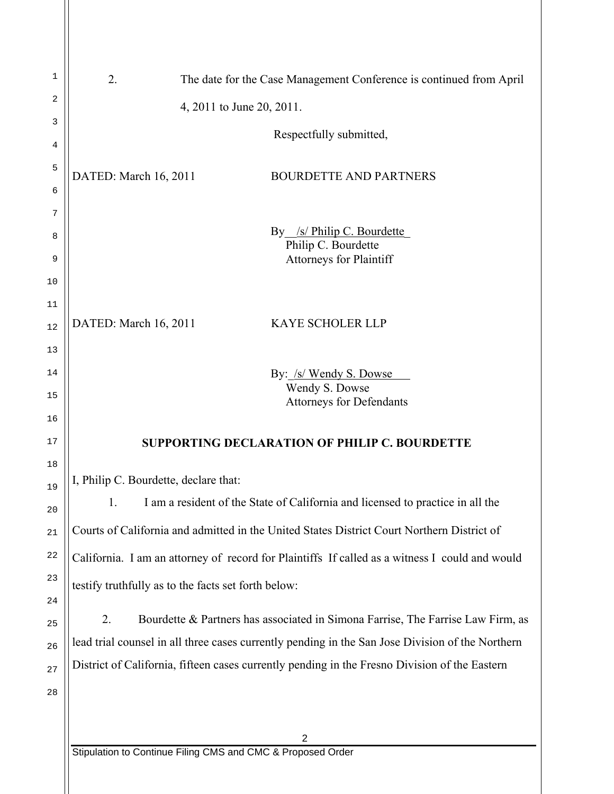| 1        | 2.<br>The date for the Case Management Conference is continued from April                        |
|----------|--------------------------------------------------------------------------------------------------|
| 2        | 4, 2011 to June 20, 2011.                                                                        |
| 3        | Respectfully submitted,                                                                          |
| 4        |                                                                                                  |
| 5<br>6   | DATED: March 16, 2011<br><b>BOURDETTE AND PARTNERS</b>                                           |
| 7        |                                                                                                  |
| 8        | /s/ Philip C. Bourdette<br>By                                                                    |
| 9        | Philip C. Bourdette<br><b>Attorneys for Plaintiff</b>                                            |
| 10       |                                                                                                  |
| 11       |                                                                                                  |
| 12       | DATED: March 16, 2011<br>KAYE SCHOLER LLP                                                        |
| 13       |                                                                                                  |
| 14       | By: /s/ Wendy S. Dowse<br>Wendy S. Dowse                                                         |
| 15<br>16 | <b>Attorneys for Defendants</b>                                                                  |
| 17       | <b>SUPPORTING DECLARATION OF PHILIP C. BOURDETTE</b>                                             |
| 18       |                                                                                                  |
| 19       | I, Philip C. Bourdette, declare that:                                                            |
| 20       | I am a resident of the State of California and licensed to practice in all the<br>1.             |
| 21       | Courts of California and admitted in the United States District Court Northern District of       |
| 22       | California. I am an attorney of record for Plaintiffs If called as a witness I could and would   |
| 23       | testify truthfully as to the facts set forth below:                                              |
| 24       | Bourdette & Partners has associated in Simona Farrise, The Farrise Law Firm, as<br>2.            |
| 25       | lead trial counsel in all three cases currently pending in the San Jose Division of the Northern |
| 26<br>27 | District of California, fifteen cases currently pending in the Fresno Division of the Eastern    |
| 28       |                                                                                                  |
|          |                                                                                                  |
|          | 2                                                                                                |